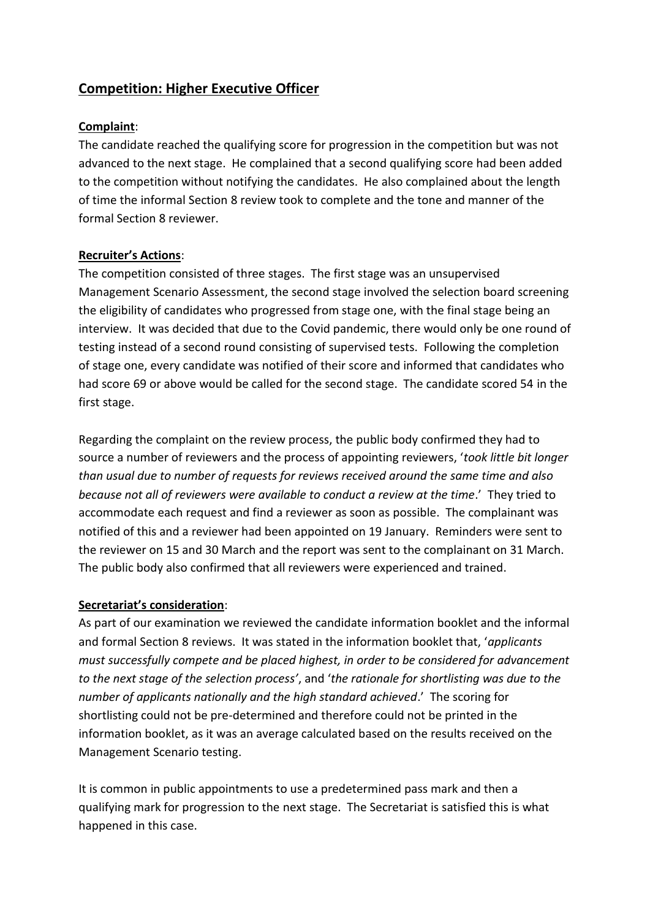# **Competition: Higher Executive Officer**

## **Complaint**:

The candidate reached the qualifying score for progression in the competition but was not advanced to the next stage. He complained that a second qualifying score had been added to the competition without notifying the candidates. He also complained about the length of time the informal Section 8 review took to complete and the tone and manner of the formal Section 8 reviewer.

## **Recruiter's Actions**:

The competition consisted of three stages. The first stage was an unsupervised Management Scenario Assessment, the second stage involved the selection board screening the eligibility of candidates who progressed from stage one, with the final stage being an interview. It was decided that due to the Covid pandemic, there would only be one round of testing instead of a second round consisting of supervised tests. Following the completion of stage one, every candidate was notified of their score and informed that candidates who had score 69 or above would be called for the second stage. The candidate scored 54 in the first stage.

Regarding the complaint on the review process, the public body confirmed they had to source a number of reviewers and the process of appointing reviewers, '*took little bit longer than usual due to number of requests for reviews received around the same time and also because not all of reviewers were available to conduct a review at the time*.' They tried to accommodate each request and find a reviewer as soon as possible. The complainant was notified of this and a reviewer had been appointed on 19 January. Reminders were sent to the reviewer on 15 and 30 March and the report was sent to the complainant on 31 March. The public body also confirmed that all reviewers were experienced and trained.

## **Secretariat's consideration**:

As part of our examination we reviewed the candidate information booklet and the informal and formal Section 8 reviews. It was stated in the information booklet that, '*applicants must successfully compete and be placed highest, in order to be considered for advancement to the next stage of the selection process'*, and '*the rationale for shortlisting was due to the number of applicants nationally and the high standard achieved*.' The scoring for shortlisting could not be pre-determined and therefore could not be printed in the information booklet, as it was an average calculated based on the results received on the Management Scenario testing.

It is common in public appointments to use a predetermined pass mark and then a qualifying mark for progression to the next stage. The Secretariat is satisfied this is what happened in this case.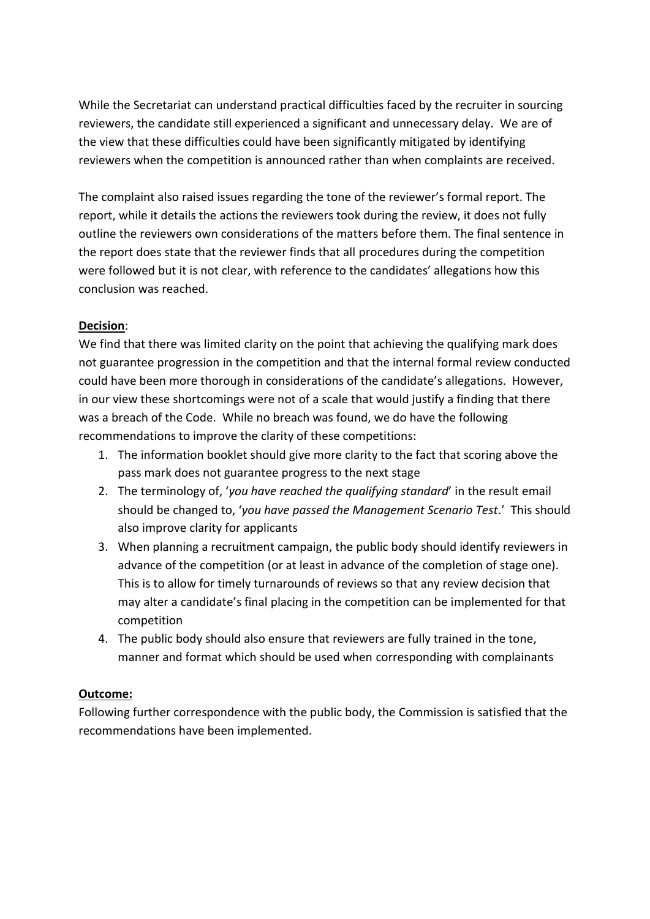While the Secretariat can understand practical difficulties faced by the recruiter in sourcing reviewers, the candidate still experienced a significant and unnecessary delay. We are of the view that these difficulties could have been significantly mitigated by identifying reviewers when the competition is announced rather than when complaints are received.

The complaint also raised issues regarding the tone of the reviewer's formal report. The report, while it details the actions the reviewers took during the review, it does not fully outline the reviewers own considerations of the matters before them. The final sentence in the report does state that the reviewer finds that all procedures during the competition were followed but it is not clear, with reference to the candidates' allegations how this conclusion was reached.

## **Decision**:

We find that there was limited clarity on the point that achieving the qualifying mark does not guarantee progression in the competition and that the internal formal review conducted could have been more thorough in considerations of the candidate's allegations. However, in our view these shortcomings were not of a scale that would justify a finding that there was a breach of the Code. While no breach was found, we do have the following recommendations to improve the clarity of these competitions:

- 1. The information booklet should give more clarity to the fact that scoring above the pass mark does not guarantee progress to the next stage
- 2. The terminology of, '*you have reached the qualifying standard*' in the result email should be changed to, '*you have passed the Management Scenario Test*.' This should also improve clarity for applicants
- 3. When planning a recruitment campaign, the public body should identify reviewers in advance of the competition (or at least in advance of the completion of stage one). This is to allow for timely turnarounds of reviews so that any review decision that may alter a candidate's final placing in the competition can be implemented for that competition
- 4. The public body should also ensure that reviewers are fully trained in the tone, manner and format which should be used when corresponding with complainants

## **Outcome:**

Following further correspondence with the public body, the Commission is satisfied that the recommendations have been implemented.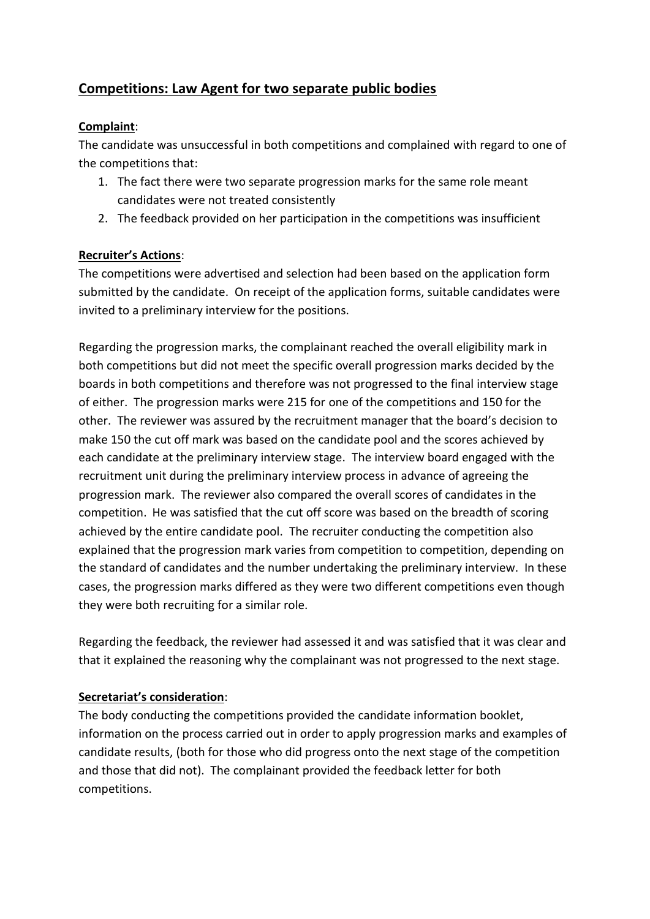# **Competitions: Law Agent for two separate public bodies**

## **Complaint**:

The candidate was unsuccessful in both competitions and complained with regard to one of the competitions that:

- 1. The fact there were two separate progression marks for the same role meant candidates were not treated consistently
- 2. The feedback provided on her participation in the competitions was insufficient

## **Recruiter's Actions**:

The competitions were advertised and selection had been based on the application form submitted by the candidate. On receipt of the application forms, suitable candidates were invited to a preliminary interview for the positions.

Regarding the progression marks, the complainant reached the overall eligibility mark in both competitions but did not meet the specific overall progression marks decided by the boards in both competitions and therefore was not progressed to the final interview stage of either. The progression marks were 215 for one of the competitions and 150 for the other. The reviewer was assured by the recruitment manager that the board's decision to make 150 the cut off mark was based on the candidate pool and the scores achieved by each candidate at the preliminary interview stage. The interview board engaged with the recruitment unit during the preliminary interview process in advance of agreeing the progression mark. The reviewer also compared the overall scores of candidates in the competition. He was satisfied that the cut off score was based on the breadth of scoring achieved by the entire candidate pool. The recruiter conducting the competition also explained that the progression mark varies from competition to competition, depending on the standard of candidates and the number undertaking the preliminary interview. In these cases, the progression marks differed as they were two different competitions even though they were both recruiting for a similar role.

Regarding the feedback, the reviewer had assessed it and was satisfied that it was clear and that it explained the reasoning why the complainant was not progressed to the next stage.

## **Secretariat's consideration**:

The body conducting the competitions provided the candidate information booklet, information on the process carried out in order to apply progression marks and examples of candidate results, (both for those who did progress onto the next stage of the competition and those that did not). The complainant provided the feedback letter for both competitions.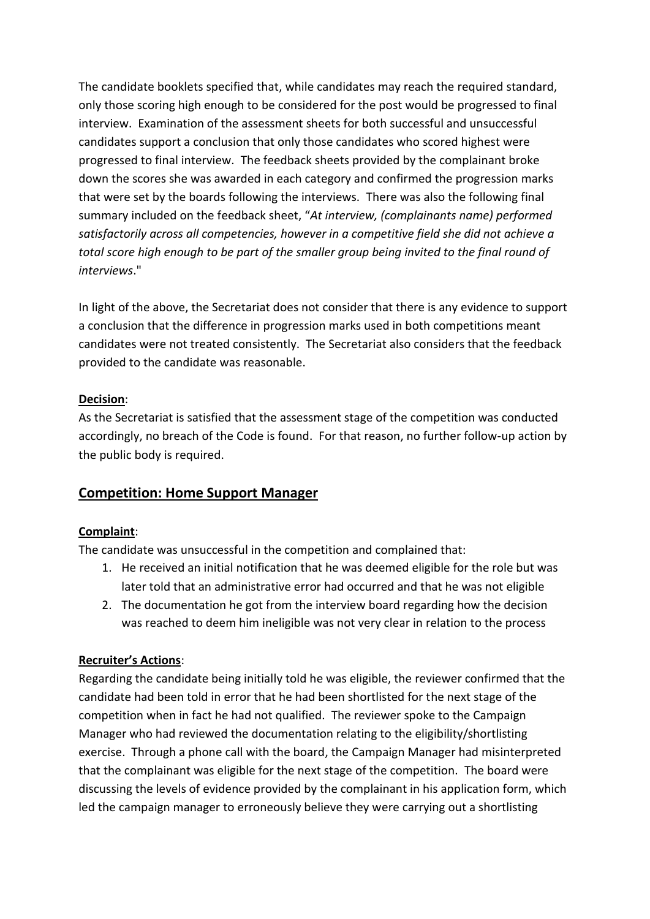The candidate booklets specified that, while candidates may reach the required standard, only those scoring high enough to be considered for the post would be progressed to final interview. Examination of the assessment sheets for both successful and unsuccessful candidates support a conclusion that only those candidates who scored highest were progressed to final interview. The feedback sheets provided by the complainant broke down the scores she was awarded in each category and confirmed the progression marks that were set by the boards following the interviews. There was also the following final summary included on the feedback sheet, "*At interview, (complainants name) performed satisfactorily across all competencies, however in a competitive field she did not achieve a total score high enough to be part of the smaller group being invited to the final round of interviews*."

In light of the above, the Secretariat does not consider that there is any evidence to support a conclusion that the difference in progression marks used in both competitions meant candidates were not treated consistently. The Secretariat also considers that the feedback provided to the candidate was reasonable.

## **Decision**:

As the Secretariat is satisfied that the assessment stage of the competition was conducted accordingly, no breach of the Code is found. For that reason, no further follow-up action by the public body is required.

# **Competition: Home Support Manager**

## **Complaint**:

The candidate was unsuccessful in the competition and complained that:

- 1. He received an initial notification that he was deemed eligible for the role but was later told that an administrative error had occurred and that he was not eligible
- 2. The documentation he got from the interview board regarding how the decision was reached to deem him ineligible was not very clear in relation to the process

## **Recruiter's Actions**:

Regarding the candidate being initially told he was eligible, the reviewer confirmed that the candidate had been told in error that he had been shortlisted for the next stage of the competition when in fact he had not qualified. The reviewer spoke to the Campaign Manager who had reviewed the documentation relating to the eligibility/shortlisting exercise. Through a phone call with the board, the Campaign Manager had misinterpreted that the complainant was eligible for the next stage of the competition. The board were discussing the levels of evidence provided by the complainant in his application form, which led the campaign manager to erroneously believe they were carrying out a shortlisting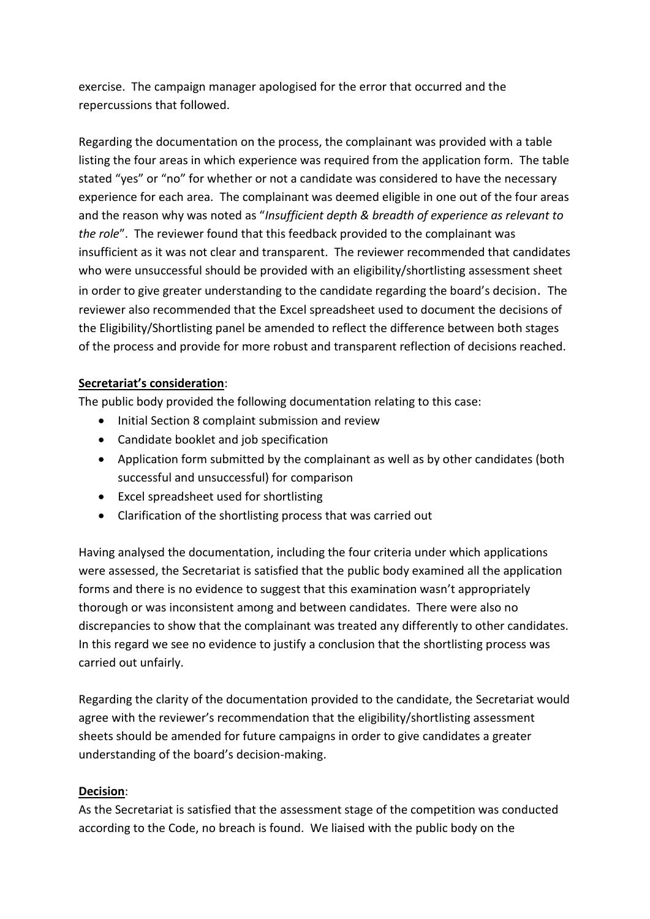exercise. The campaign manager apologised for the error that occurred and the repercussions that followed.

Regarding the documentation on the process, the complainant was provided with a table listing the four areas in which experience was required from the application form. The table stated "yes" or "no" for whether or not a candidate was considered to have the necessary experience for each area. The complainant was deemed eligible in one out of the four areas and the reason why was noted as "*Insufficient depth & breadth of experience as relevant to the role*". The reviewer found that this feedback provided to the complainant was insufficient as it was not clear and transparent. The reviewer recommended that candidates who were unsuccessful should be provided with an eligibility/shortlisting assessment sheet in order to give greater understanding to the candidate regarding the board's decision. The reviewer also recommended that the Excel spreadsheet used to document the decisions of the Eligibility/Shortlisting panel be amended to reflect the difference between both stages of the process and provide for more robust and transparent reflection of decisions reached.

## **Secretariat's consideration**:

The public body provided the following documentation relating to this case:

- Initial Section 8 complaint submission and review
- Candidate booklet and job specification
- Application form submitted by the complainant as well as by other candidates (both successful and unsuccessful) for comparison
- Excel spreadsheet used for shortlisting
- Clarification of the shortlisting process that was carried out

Having analysed the documentation, including the four criteria under which applications were assessed, the Secretariat is satisfied that the public body examined all the application forms and there is no evidence to suggest that this examination wasn't appropriately thorough or was inconsistent among and between candidates. There were also no discrepancies to show that the complainant was treated any differently to other candidates. In this regard we see no evidence to justify a conclusion that the shortlisting process was carried out unfairly.

Regarding the clarity of the documentation provided to the candidate, the Secretariat would agree with the reviewer's recommendation that the eligibility/shortlisting assessment sheets should be amended for future campaigns in order to give candidates a greater understanding of the board's decision-making.

## **Decision**:

As the Secretariat is satisfied that the assessment stage of the competition was conducted according to the Code, no breach is found. We liaised with the public body on the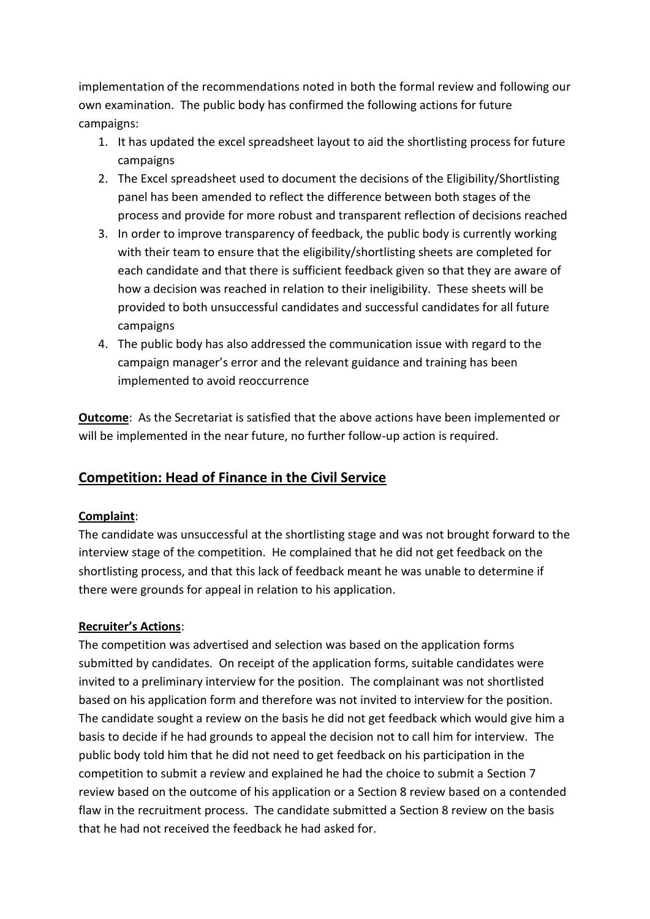implementation of the recommendations noted in both the formal review and following our own examination. The public body has confirmed the following actions for future campaigns:

- 1. It has updated the excel spreadsheet layout to aid the shortlisting process for future campaigns
- 2. The Excel spreadsheet used to document the decisions of the Eligibility/Shortlisting panel has been amended to reflect the difference between both stages of the process and provide for more robust and transparent reflection of decisions reached
- 3. In order to improve transparency of feedback, the public body is currently working with their team to ensure that the eligibility/shortlisting sheets are completed for each candidate and that there is sufficient feedback given so that they are aware of how a decision was reached in relation to their ineligibility. These sheets will be provided to both unsuccessful candidates and successful candidates for all future campaigns
- 4. The public body has also addressed the communication issue with regard to the campaign manager's error and the relevant guidance and training has been implemented to avoid reoccurrence

**Outcome**: As the Secretariat is satisfied that the above actions have been implemented or will be implemented in the near future, no further follow-up action is required.

# **Competition: Head of Finance in the Civil Service**

## **Complaint**:

The candidate was unsuccessful at the shortlisting stage and was not brought forward to the interview stage of the competition. He complained that he did not get feedback on the shortlisting process, and that this lack of feedback meant he was unable to determine if there were grounds for appeal in relation to his application.

## **Recruiter's Actions**:

The competition was advertised and selection was based on the application forms submitted by candidates. On receipt of the application forms, suitable candidates were invited to a preliminary interview for the position. The complainant was not shortlisted based on his application form and therefore was not invited to interview for the position. The candidate sought a review on the basis he did not get feedback which would give him a basis to decide if he had grounds to appeal the decision not to call him for interview. The public body told him that he did not need to get feedback on his participation in the competition to submit a review and explained he had the choice to submit a Section 7 review based on the outcome of his application or a Section 8 review based on a contended flaw in the recruitment process. The candidate submitted a Section 8 review on the basis that he had not received the feedback he had asked for.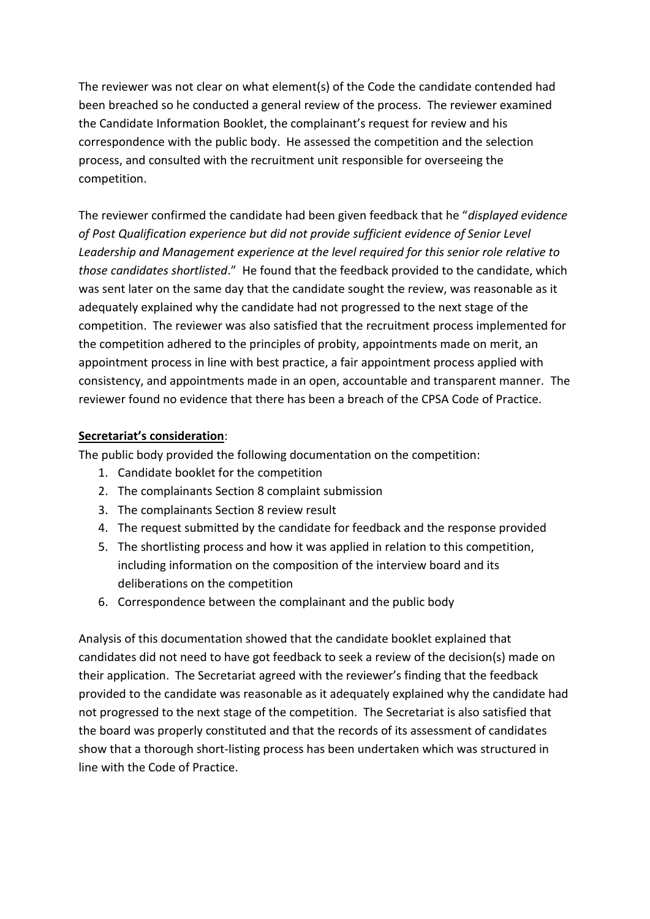The reviewer was not clear on what element(s) of the Code the candidate contended had been breached so he conducted a general review of the process. The reviewer examined the Candidate Information Booklet, the complainant's request for review and his correspondence with the public body. He assessed the competition and the selection process, and consulted with the recruitment unit responsible for overseeing the competition.

The reviewer confirmed the candidate had been given feedback that he "*displayed evidence of Post Qualification experience but did not provide sufficient evidence of Senior Level Leadership and Management experience at the level required for this senior role relative to those candidates shortlisted*." He found that the feedback provided to the candidate, which was sent later on the same day that the candidate sought the review, was reasonable as it adequately explained why the candidate had not progressed to the next stage of the competition. The reviewer was also satisfied that the recruitment process implemented for the competition adhered to the principles of probity, appointments made on merit, an appointment process in line with best practice, a fair appointment process applied with consistency, and appointments made in an open, accountable and transparent manner. The reviewer found no evidence that there has been a breach of the CPSA Code of Practice.

## **Secretariat's consideration**:

The public body provided the following documentation on the competition:

- 1. Candidate booklet for the competition
- 2. The complainants Section 8 complaint submission
- 3. The complainants Section 8 review result
- 4. The request submitted by the candidate for feedback and the response provided
- 5. The shortlisting process and how it was applied in relation to this competition, including information on the composition of the interview board and its deliberations on the competition
- 6. Correspondence between the complainant and the public body

Analysis of this documentation showed that the candidate booklet explained that candidates did not need to have got feedback to seek a review of the decision(s) made on their application. The Secretariat agreed with the reviewer's finding that the feedback provided to the candidate was reasonable as it adequately explained why the candidate had not progressed to the next stage of the competition. The Secretariat is also satisfied that the board was properly constituted and that the records of its assessment of candidates show that a thorough short-listing process has been undertaken which was structured in line with the Code of Practice.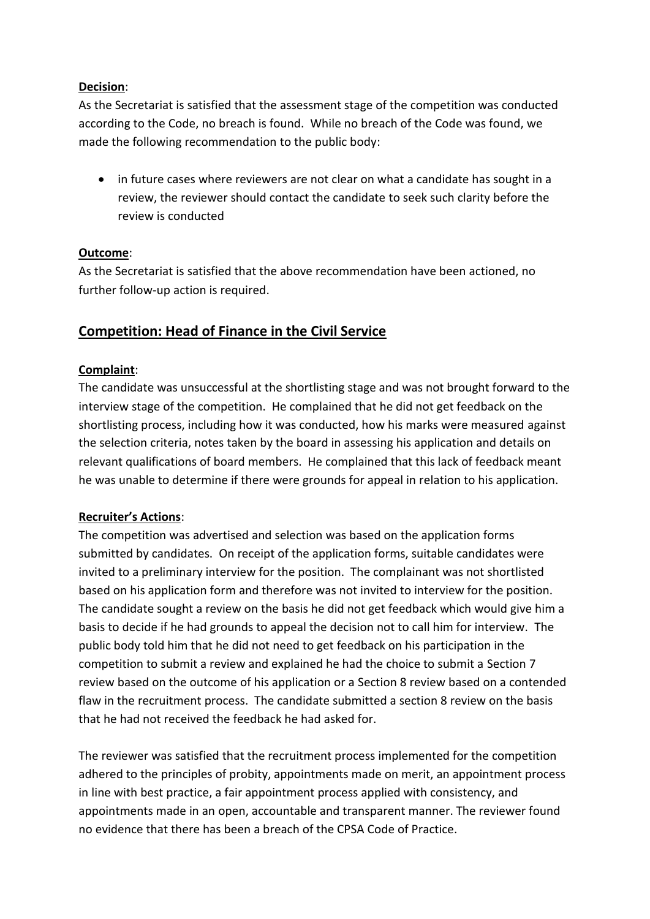## **Decision**:

As the Secretariat is satisfied that the assessment stage of the competition was conducted according to the Code, no breach is found. While no breach of the Code was found, we made the following recommendation to the public body:

 in future cases where reviewers are not clear on what a candidate has sought in a review, the reviewer should contact the candidate to seek such clarity before the review is conducted

## **Outcome**:

As the Secretariat is satisfied that the above recommendation have been actioned, no further follow-up action is required.

## **Competition: Head of Finance in the Civil Service**

## **Complaint**:

The candidate was unsuccessful at the shortlisting stage and was not brought forward to the interview stage of the competition. He complained that he did not get feedback on the shortlisting process, including how it was conducted, how his marks were measured against the selection criteria, notes taken by the board in assessing his application and details on relevant qualifications of board members. He complained that this lack of feedback meant he was unable to determine if there were grounds for appeal in relation to his application.

## **Recruiter's Actions**:

The competition was advertised and selection was based on the application forms submitted by candidates. On receipt of the application forms, suitable candidates were invited to a preliminary interview for the position. The complainant was not shortlisted based on his application form and therefore was not invited to interview for the position. The candidate sought a review on the basis he did not get feedback which would give him a basis to decide if he had grounds to appeal the decision not to call him for interview. The public body told him that he did not need to get feedback on his participation in the competition to submit a review and explained he had the choice to submit a Section 7 review based on the outcome of his application or a Section 8 review based on a contended flaw in the recruitment process. The candidate submitted a section 8 review on the basis that he had not received the feedback he had asked for.

The reviewer was satisfied that the recruitment process implemented for the competition adhered to the principles of probity, appointments made on merit, an appointment process in line with best practice, a fair appointment process applied with consistency, and appointments made in an open, accountable and transparent manner. The reviewer found no evidence that there has been a breach of the CPSA Code of Practice.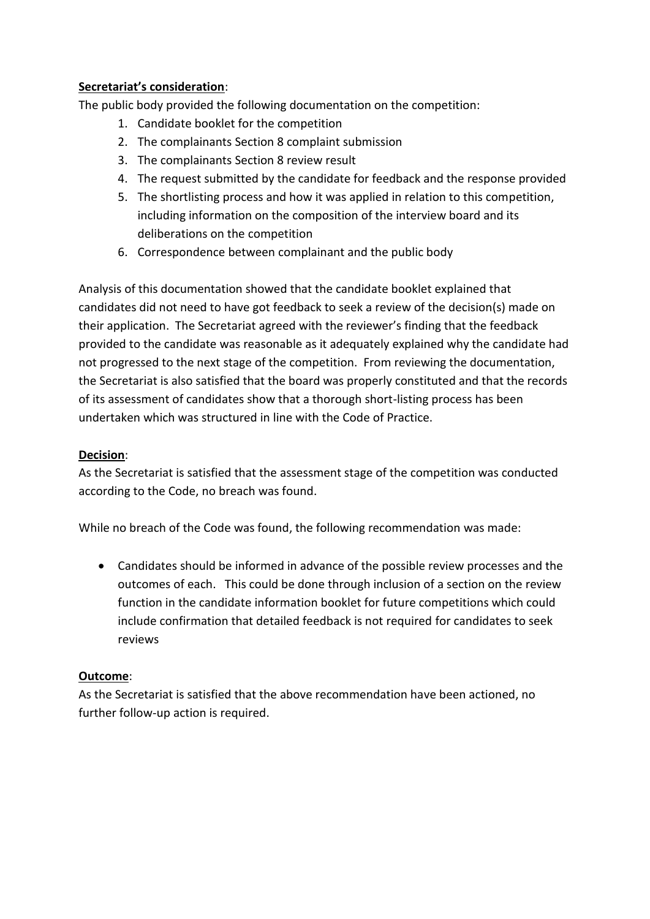## **Secretariat's consideration**:

The public body provided the following documentation on the competition:

- 1. Candidate booklet for the competition
- 2. The complainants Section 8 complaint submission
- 3. The complainants Section 8 review result
- 4. The request submitted by the candidate for feedback and the response provided
- 5. The shortlisting process and how it was applied in relation to this competition, including information on the composition of the interview board and its deliberations on the competition
- 6. Correspondence between complainant and the public body

Analysis of this documentation showed that the candidate booklet explained that candidates did not need to have got feedback to seek a review of the decision(s) made on their application. The Secretariat agreed with the reviewer's finding that the feedback provided to the candidate was reasonable as it adequately explained why the candidate had not progressed to the next stage of the competition. From reviewing the documentation, the Secretariat is also satisfied that the board was properly constituted and that the records of its assessment of candidates show that a thorough short-listing process has been undertaken which was structured in line with the Code of Practice.

#### **Decision**:

As the Secretariat is satisfied that the assessment stage of the competition was conducted according to the Code, no breach was found.

While no breach of the Code was found, the following recommendation was made:

 Candidates should be informed in advance of the possible review processes and the outcomes of each. This could be done through inclusion of a section on the review function in the candidate information booklet for future competitions which could include confirmation that detailed feedback is not required for candidates to seek reviews

## **Outcome**:

As the Secretariat is satisfied that the above recommendation have been actioned, no further follow-up action is required.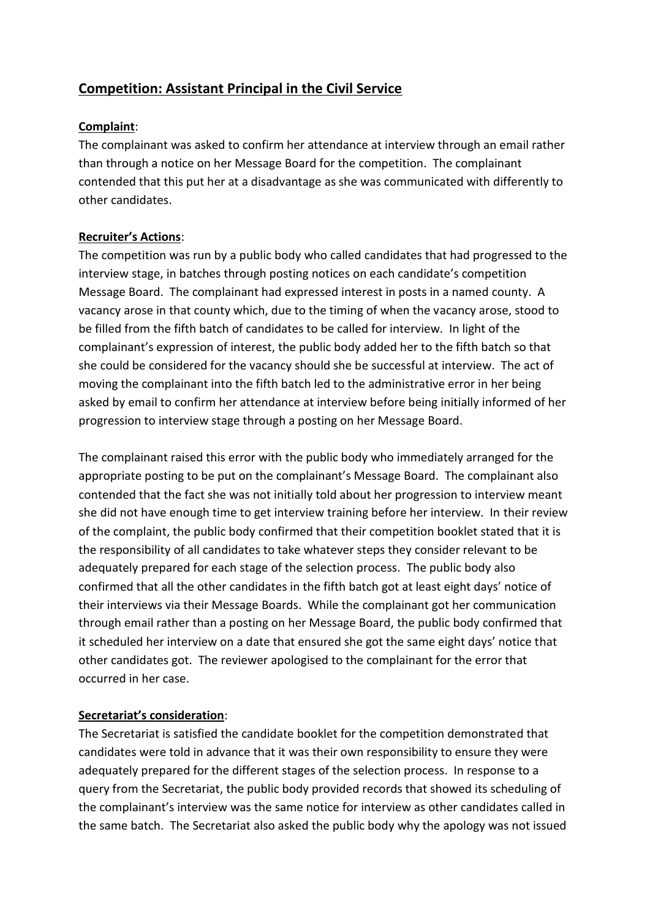# **Competition: Assistant Principal in the Civil Service**

## **Complaint**:

The complainant was asked to confirm her attendance at interview through an email rather than through a notice on her Message Board for the competition. The complainant contended that this put her at a disadvantage as she was communicated with differently to other candidates.

## **Recruiter's Actions**:

The competition was run by a public body who called candidates that had progressed to the interview stage, in batches through posting notices on each candidate's competition Message Board. The complainant had expressed interest in posts in a named county. A vacancy arose in that county which, due to the timing of when the vacancy arose, stood to be filled from the fifth batch of candidates to be called for interview. In light of the complainant's expression of interest, the public body added her to the fifth batch so that she could be considered for the vacancy should she be successful at interview. The act of moving the complainant into the fifth batch led to the administrative error in her being asked by email to confirm her attendance at interview before being initially informed of her progression to interview stage through a posting on her Message Board.

The complainant raised this error with the public body who immediately arranged for the appropriate posting to be put on the complainant's Message Board. The complainant also contended that the fact she was not initially told about her progression to interview meant she did not have enough time to get interview training before her interview. In their review of the complaint, the public body confirmed that their competition booklet stated that it is the responsibility of all candidates to take whatever steps they consider relevant to be adequately prepared for each stage of the selection process. The public body also confirmed that all the other candidates in the fifth batch got at least eight days' notice of their interviews via their Message Boards. While the complainant got her communication through email rather than a posting on her Message Board, the public body confirmed that it scheduled her interview on a date that ensured she got the same eight days' notice that other candidates got. The reviewer apologised to the complainant for the error that occurred in her case.

## **Secretariat's consideration**:

The Secretariat is satisfied the candidate booklet for the competition demonstrated that candidates were told in advance that it was their own responsibility to ensure they were adequately prepared for the different stages of the selection process. In response to a query from the Secretariat, the public body provided records that showed its scheduling of the complainant's interview was the same notice for interview as other candidates called in the same batch. The Secretariat also asked the public body why the apology was not issued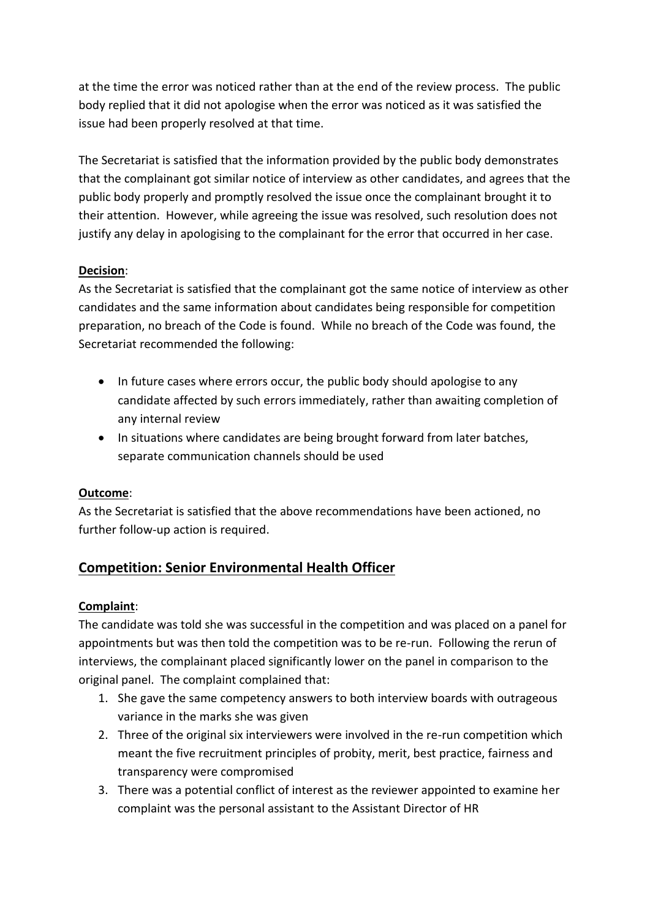at the time the error was noticed rather than at the end of the review process. The public body replied that it did not apologise when the error was noticed as it was satisfied the issue had been properly resolved at that time.

The Secretariat is satisfied that the information provided by the public body demonstrates that the complainant got similar notice of interview as other candidates, and agrees that the public body properly and promptly resolved the issue once the complainant brought it to their attention. However, while agreeing the issue was resolved, such resolution does not justify any delay in apologising to the complainant for the error that occurred in her case.

## **Decision**:

As the Secretariat is satisfied that the complainant got the same notice of interview as other candidates and the same information about candidates being responsible for competition preparation, no breach of the Code is found. While no breach of the Code was found, the Secretariat recommended the following:

- In future cases where errors occur, the public body should apologise to any candidate affected by such errors immediately, rather than awaiting completion of any internal review
- In situations where candidates are being brought forward from later batches, separate communication channels should be used

## **Outcome**:

As the Secretariat is satisfied that the above recommendations have been actioned, no further follow-up action is required.

# **Competition: Senior Environmental Health Officer**

## **Complaint**:

The candidate was told she was successful in the competition and was placed on a panel for appointments but was then told the competition was to be re-run. Following the rerun of interviews, the complainant placed significantly lower on the panel in comparison to the original panel. The complaint complained that:

- 1. She gave the same competency answers to both interview boards with outrageous variance in the marks she was given
- 2. Three of the original six interviewers were involved in the re-run competition which meant the five recruitment principles of probity, merit, best practice, fairness and transparency were compromised
- 3. There was a potential conflict of interest as the reviewer appointed to examine her complaint was the personal assistant to the Assistant Director of HR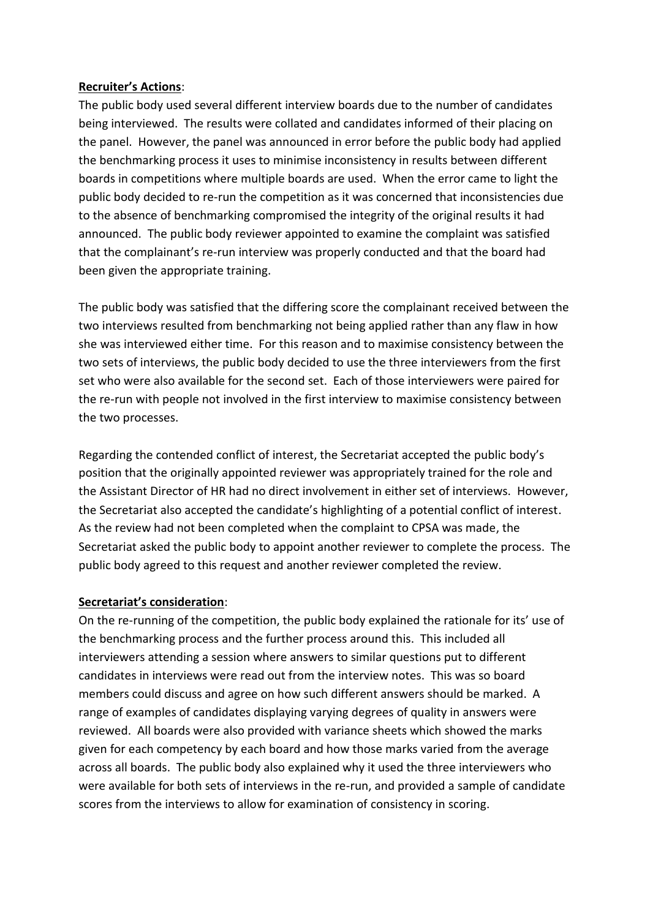#### **Recruiter's Actions**:

The public body used several different interview boards due to the number of candidates being interviewed. The results were collated and candidates informed of their placing on the panel. However, the panel was announced in error before the public body had applied the benchmarking process it uses to minimise inconsistency in results between different boards in competitions where multiple boards are used. When the error came to light the public body decided to re-run the competition as it was concerned that inconsistencies due to the absence of benchmarking compromised the integrity of the original results it had announced. The public body reviewer appointed to examine the complaint was satisfied that the complainant's re-run interview was properly conducted and that the board had been given the appropriate training.

The public body was satisfied that the differing score the complainant received between the two interviews resulted from benchmarking not being applied rather than any flaw in how she was interviewed either time. For this reason and to maximise consistency between the two sets of interviews, the public body decided to use the three interviewers from the first set who were also available for the second set. Each of those interviewers were paired for the re-run with people not involved in the first interview to maximise consistency between the two processes.

Regarding the contended conflict of interest, the Secretariat accepted the public body's position that the originally appointed reviewer was appropriately trained for the role and the Assistant Director of HR had no direct involvement in either set of interviews. However, the Secretariat also accepted the candidate's highlighting of a potential conflict of interest. As the review had not been completed when the complaint to CPSA was made, the Secretariat asked the public body to appoint another reviewer to complete the process. The public body agreed to this request and another reviewer completed the review.

## **Secretariat's consideration**:

On the re-running of the competition, the public body explained the rationale for its' use of the benchmarking process and the further process around this. This included all interviewers attending a session where answers to similar questions put to different candidates in interviews were read out from the interview notes. This was so board members could discuss and agree on how such different answers should be marked. A range of examples of candidates displaying varying degrees of quality in answers were reviewed. All boards were also provided with variance sheets which showed the marks given for each competency by each board and how those marks varied from the average across all boards. The public body also explained why it used the three interviewers who were available for both sets of interviews in the re-run, and provided a sample of candidate scores from the interviews to allow for examination of consistency in scoring.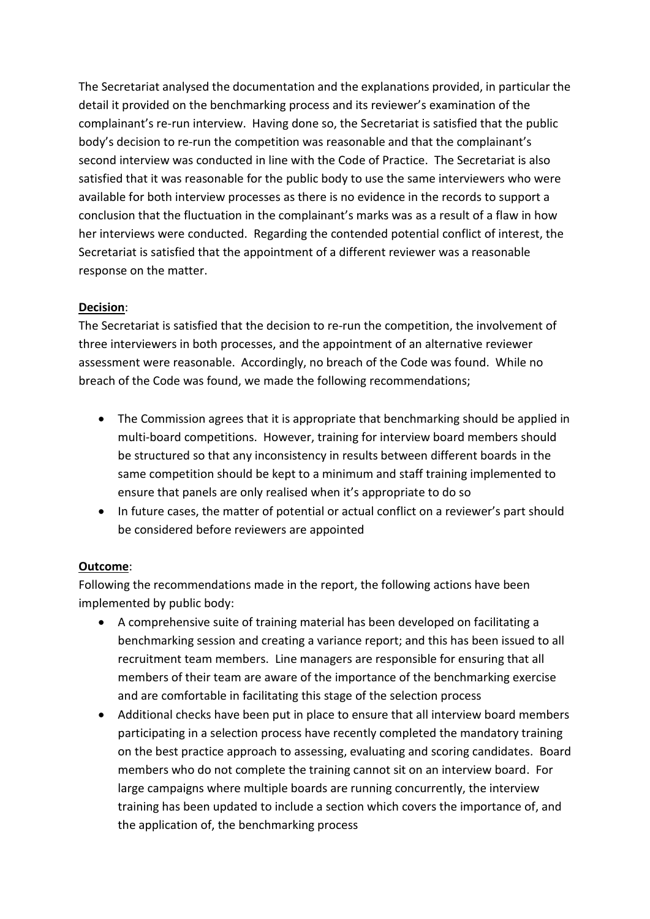The Secretariat analysed the documentation and the explanations provided, in particular the detail it provided on the benchmarking process and its reviewer's examination of the complainant's re-run interview. Having done so, the Secretariat is satisfied that the public body's decision to re-run the competition was reasonable and that the complainant's second interview was conducted in line with the Code of Practice. The Secretariat is also satisfied that it was reasonable for the public body to use the same interviewers who were available for both interview processes as there is no evidence in the records to support a conclusion that the fluctuation in the complainant's marks was as a result of a flaw in how her interviews were conducted. Regarding the contended potential conflict of interest, the Secretariat is satisfied that the appointment of a different reviewer was a reasonable response on the matter.

## **Decision**:

The Secretariat is satisfied that the decision to re-run the competition, the involvement of three interviewers in both processes, and the appointment of an alternative reviewer assessment were reasonable. Accordingly, no breach of the Code was found. While no breach of the Code was found, we made the following recommendations;

- The Commission agrees that it is appropriate that benchmarking should be applied in multi-board competitions. However, training for interview board members should be structured so that any inconsistency in results between different boards in the same competition should be kept to a minimum and staff training implemented to ensure that panels are only realised when it's appropriate to do so
- In future cases, the matter of potential or actual conflict on a reviewer's part should be considered before reviewers are appointed

## **Outcome**:

Following the recommendations made in the report, the following actions have been implemented by public body:

- A comprehensive suite of training material has been developed on facilitating a benchmarking session and creating a variance report; and this has been issued to all recruitment team members. Line managers are responsible for ensuring that all members of their team are aware of the importance of the benchmarking exercise and are comfortable in facilitating this stage of the selection process
- Additional checks have been put in place to ensure that all interview board members participating in a selection process have recently completed the mandatory training on the best practice approach to assessing, evaluating and scoring candidates. Board members who do not complete the training cannot sit on an interview board. For large campaigns where multiple boards are running concurrently, the interview training has been updated to include a section which covers the importance of, and the application of, the benchmarking process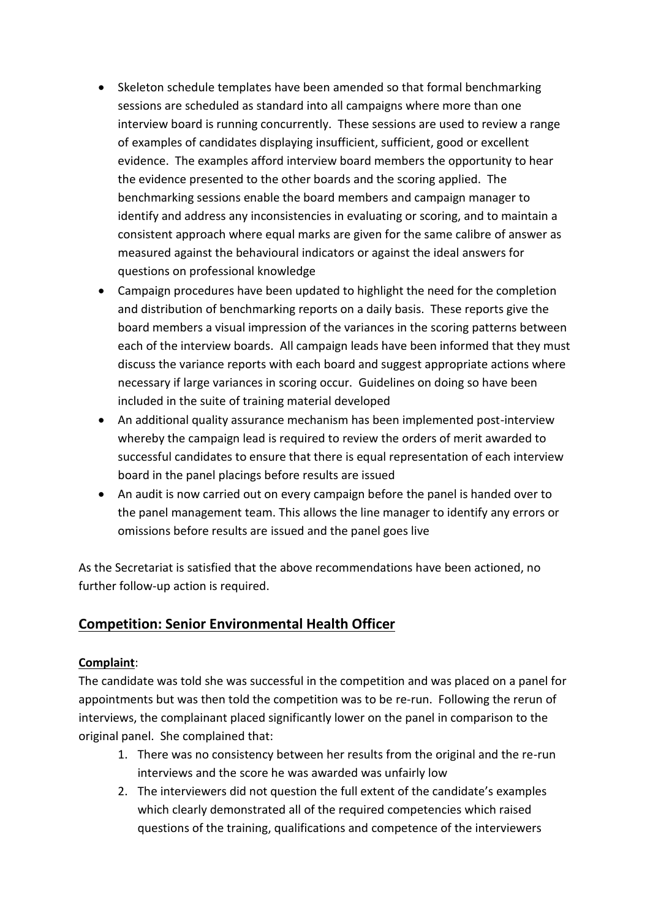- Skeleton schedule templates have been amended so that formal benchmarking sessions are scheduled as standard into all campaigns where more than one interview board is running concurrently. These sessions are used to review a range of examples of candidates displaying insufficient, sufficient, good or excellent evidence. The examples afford interview board members the opportunity to hear the evidence presented to the other boards and the scoring applied. The benchmarking sessions enable the board members and campaign manager to identify and address any inconsistencies in evaluating or scoring, and to maintain a consistent approach where equal marks are given for the same calibre of answer as measured against the behavioural indicators or against the ideal answers for questions on professional knowledge
- Campaign procedures have been updated to highlight the need for the completion and distribution of benchmarking reports on a daily basis. These reports give the board members a visual impression of the variances in the scoring patterns between each of the interview boards. All campaign leads have been informed that they must discuss the variance reports with each board and suggest appropriate actions where necessary if large variances in scoring occur. Guidelines on doing so have been included in the suite of training material developed
- An additional quality assurance mechanism has been implemented post-interview whereby the campaign lead is required to review the orders of merit awarded to successful candidates to ensure that there is equal representation of each interview board in the panel placings before results are issued
- An audit is now carried out on every campaign before the panel is handed over to the panel management team. This allows the line manager to identify any errors or omissions before results are issued and the panel goes live

As the Secretariat is satisfied that the above recommendations have been actioned, no further follow-up action is required.

# **Competition: Senior Environmental Health Officer**

## **Complaint**:

The candidate was told she was successful in the competition and was placed on a panel for appointments but was then told the competition was to be re-run. Following the rerun of interviews, the complainant placed significantly lower on the panel in comparison to the original panel. She complained that:

- 1. There was no consistency between her results from the original and the re-run interviews and the score he was awarded was unfairly low
- 2. The interviewers did not question the full extent of the candidate's examples which clearly demonstrated all of the required competencies which raised questions of the training, qualifications and competence of the interviewers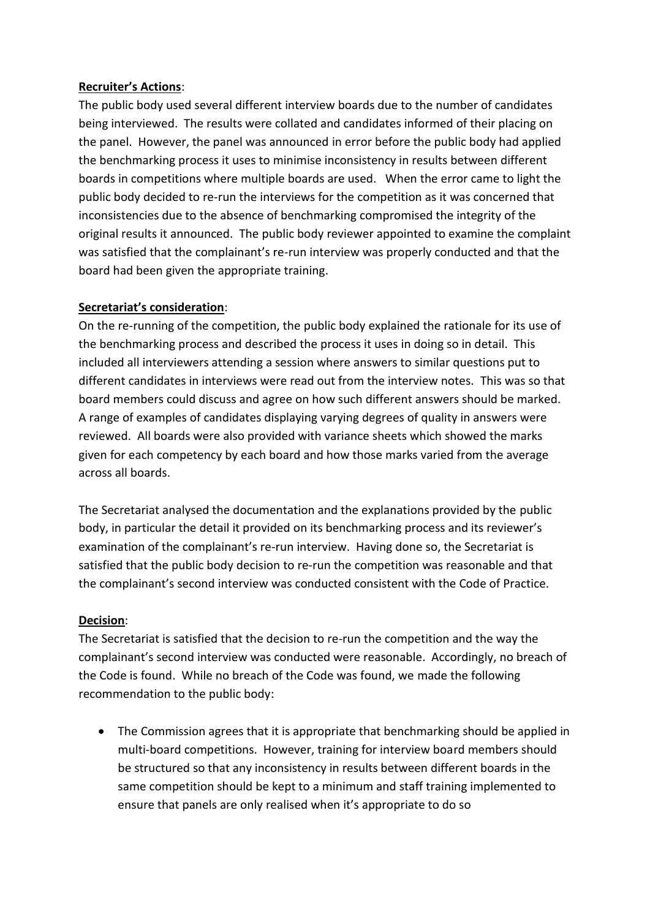## **Recruiter's Actions**:

The public body used several different interview boards due to the number of candidates being interviewed. The results were collated and candidates informed of their placing on the panel. However, the panel was announced in error before the public body had applied the benchmarking process it uses to minimise inconsistency in results between different boards in competitions where multiple boards are used. When the error came to light the public body decided to re-run the interviews for the competition as it was concerned that inconsistencies due to the absence of benchmarking compromised the integrity of the original results it announced. The public body reviewer appointed to examine the complaint was satisfied that the complainant's re-run interview was properly conducted and that the board had been given the appropriate training.

#### **Secretariat's consideration**:

On the re-running of the competition, the public body explained the rationale for its use of the benchmarking process and described the process it uses in doing so in detail. This included all interviewers attending a session where answers to similar questions put to different candidates in interviews were read out from the interview notes. This was so that board members could discuss and agree on how such different answers should be marked. A range of examples of candidates displaying varying degrees of quality in answers were reviewed. All boards were also provided with variance sheets which showed the marks given for each competency by each board and how those marks varied from the average across all boards.

The Secretariat analysed the documentation and the explanations provided by the public body, in particular the detail it provided on its benchmarking process and its reviewer's examination of the complainant's re-run interview. Having done so, the Secretariat is satisfied that the public body decision to re-run the competition was reasonable and that the complainant's second interview was conducted consistent with the Code of Practice.

## **Decision**:

The Secretariat is satisfied that the decision to re-run the competition and the way the complainant's second interview was conducted were reasonable. Accordingly, no breach of the Code is found. While no breach of the Code was found, we made the following recommendation to the public body:

 The Commission agrees that it is appropriate that benchmarking should be applied in multi-board competitions. However, training for interview board members should be structured so that any inconsistency in results between different boards in the same competition should be kept to a minimum and staff training implemented to ensure that panels are only realised when it's appropriate to do so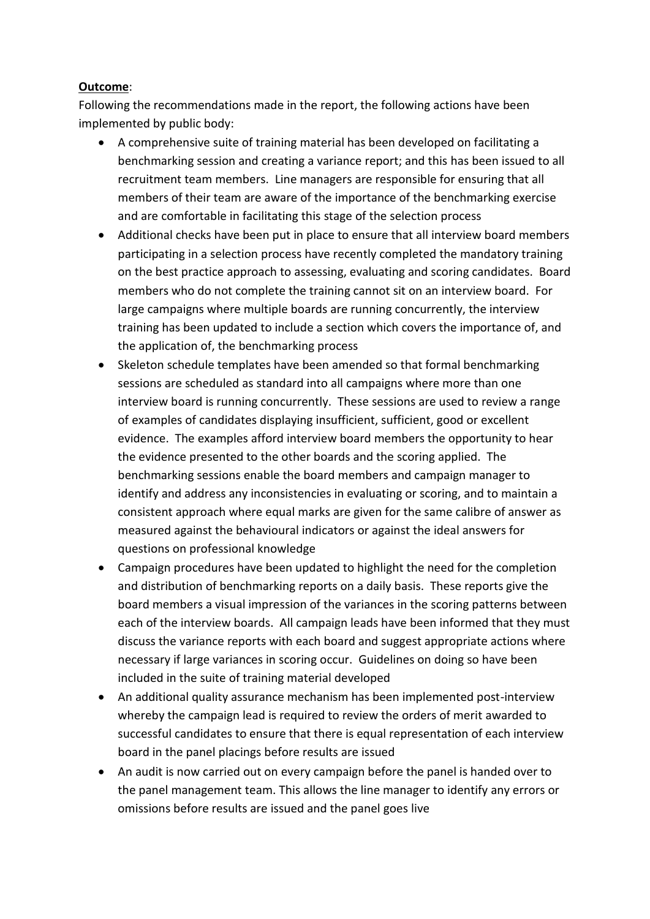## **Outcome**:

Following the recommendations made in the report, the following actions have been implemented by public body:

- A comprehensive suite of training material has been developed on facilitating a benchmarking session and creating a variance report; and this has been issued to all recruitment team members. Line managers are responsible for ensuring that all members of their team are aware of the importance of the benchmarking exercise and are comfortable in facilitating this stage of the selection process
- Additional checks have been put in place to ensure that all interview board members participating in a selection process have recently completed the mandatory training on the best practice approach to assessing, evaluating and scoring candidates. Board members who do not complete the training cannot sit on an interview board. For large campaigns where multiple boards are running concurrently, the interview training has been updated to include a section which covers the importance of, and the application of, the benchmarking process
- Skeleton schedule templates have been amended so that formal benchmarking sessions are scheduled as standard into all campaigns where more than one interview board is running concurrently. These sessions are used to review a range of examples of candidates displaying insufficient, sufficient, good or excellent evidence. The examples afford interview board members the opportunity to hear the evidence presented to the other boards and the scoring applied. The benchmarking sessions enable the board members and campaign manager to identify and address any inconsistencies in evaluating or scoring, and to maintain a consistent approach where equal marks are given for the same calibre of answer as measured against the behavioural indicators or against the ideal answers for questions on professional knowledge
- Campaign procedures have been updated to highlight the need for the completion and distribution of benchmarking reports on a daily basis. These reports give the board members a visual impression of the variances in the scoring patterns between each of the interview boards. All campaign leads have been informed that they must discuss the variance reports with each board and suggest appropriate actions where necessary if large variances in scoring occur. Guidelines on doing so have been included in the suite of training material developed
- An additional quality assurance mechanism has been implemented post-interview whereby the campaign lead is required to review the orders of merit awarded to successful candidates to ensure that there is equal representation of each interview board in the panel placings before results are issued
- An audit is now carried out on every campaign before the panel is handed over to the panel management team. This allows the line manager to identify any errors or omissions before results are issued and the panel goes live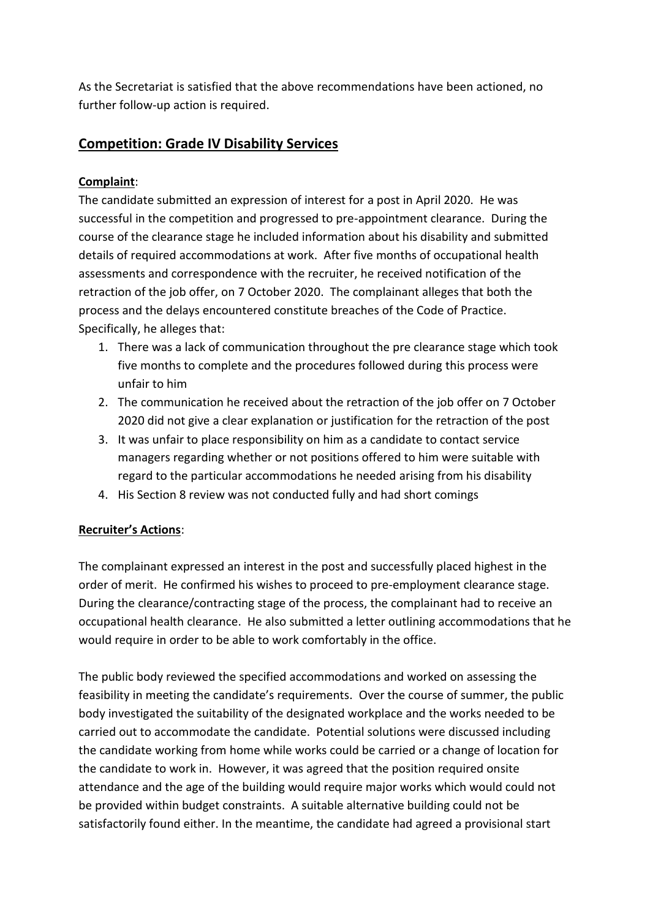As the Secretariat is satisfied that the above recommendations have been actioned, no further follow-up action is required.

# **Competition: Grade IV Disability Services**

## **Complaint**:

The candidate submitted an expression of interest for a post in April 2020. He was successful in the competition and progressed to pre-appointment clearance. During the course of the clearance stage he included information about his disability and submitted details of required accommodations at work. After five months of occupational health assessments and correspondence with the recruiter, he received notification of the retraction of the job offer, on 7 October 2020. The complainant alleges that both the process and the delays encountered constitute breaches of the Code of Practice. Specifically, he alleges that:

- 1. There was a lack of communication throughout the pre clearance stage which took five months to complete and the procedures followed during this process were unfair to him
- 2. The communication he received about the retraction of the job offer on 7 October 2020 did not give a clear explanation or justification for the retraction of the post
- 3. It was unfair to place responsibility on him as a candidate to contact service managers regarding whether or not positions offered to him were suitable with regard to the particular accommodations he needed arising from his disability
- 4. His Section 8 review was not conducted fully and had short comings

## **Recruiter's Actions**:

The complainant expressed an interest in the post and successfully placed highest in the order of merit. He confirmed his wishes to proceed to pre-employment clearance stage. During the clearance/contracting stage of the process, the complainant had to receive an occupational health clearance. He also submitted a letter outlining accommodations that he would require in order to be able to work comfortably in the office.

The public body reviewed the specified accommodations and worked on assessing the feasibility in meeting the candidate's requirements. Over the course of summer, the public body investigated the suitability of the designated workplace and the works needed to be carried out to accommodate the candidate. Potential solutions were discussed including the candidate working from home while works could be carried or a change of location for the candidate to work in. However, it was agreed that the position required onsite attendance and the age of the building would require major works which would could not be provided within budget constraints. A suitable alternative building could not be satisfactorily found either. In the meantime, the candidate had agreed a provisional start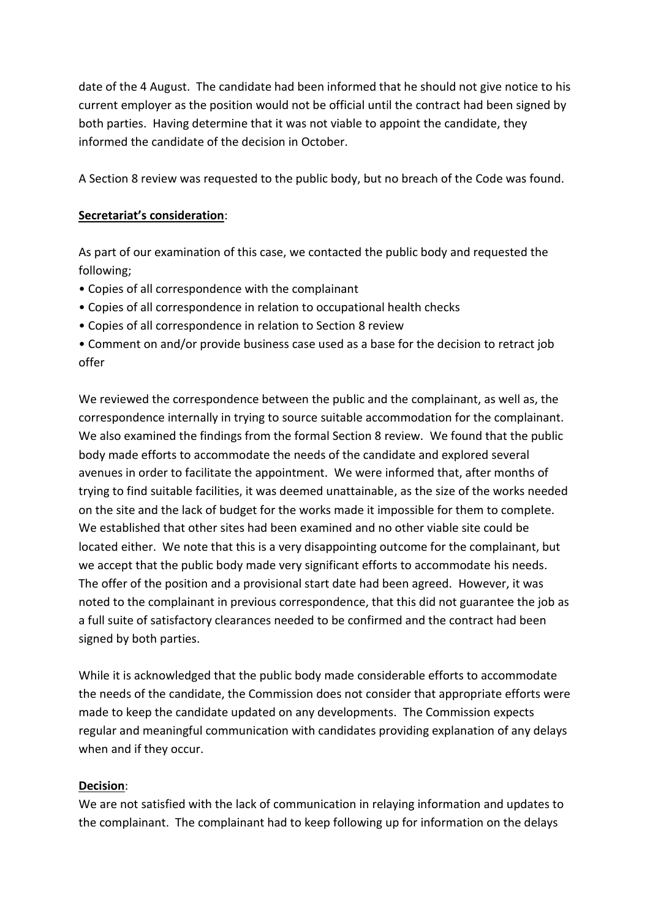date of the 4 August. The candidate had been informed that he should not give notice to his current employer as the position would not be official until the contract had been signed by both parties. Having determine that it was not viable to appoint the candidate, they informed the candidate of the decision in October.

A Section 8 review was requested to the public body, but no breach of the Code was found.

#### **Secretariat's consideration**:

As part of our examination of this case, we contacted the public body and requested the following;

- Copies of all correspondence with the complainant
- Copies of all correspondence in relation to occupational health checks
- Copies of all correspondence in relation to Section 8 review
- Comment on and/or provide business case used as a base for the decision to retract job offer

We reviewed the correspondence between the public and the complainant, as well as, the correspondence internally in trying to source suitable accommodation for the complainant. We also examined the findings from the formal Section 8 review. We found that the public body made efforts to accommodate the needs of the candidate and explored several avenues in order to facilitate the appointment. We were informed that, after months of trying to find suitable facilities, it was deemed unattainable, as the size of the works needed on the site and the lack of budget for the works made it impossible for them to complete. We established that other sites had been examined and no other viable site could be located either. We note that this is a very disappointing outcome for the complainant, but we accept that the public body made very significant efforts to accommodate his needs. The offer of the position and a provisional start date had been agreed. However, it was noted to the complainant in previous correspondence, that this did not guarantee the job as a full suite of satisfactory clearances needed to be confirmed and the contract had been signed by both parties.

While it is acknowledged that the public body made considerable efforts to accommodate the needs of the candidate, the Commission does not consider that appropriate efforts were made to keep the candidate updated on any developments. The Commission expects regular and meaningful communication with candidates providing explanation of any delays when and if they occur.

## **Decision**:

We are not satisfied with the lack of communication in relaying information and updates to the complainant. The complainant had to keep following up for information on the delays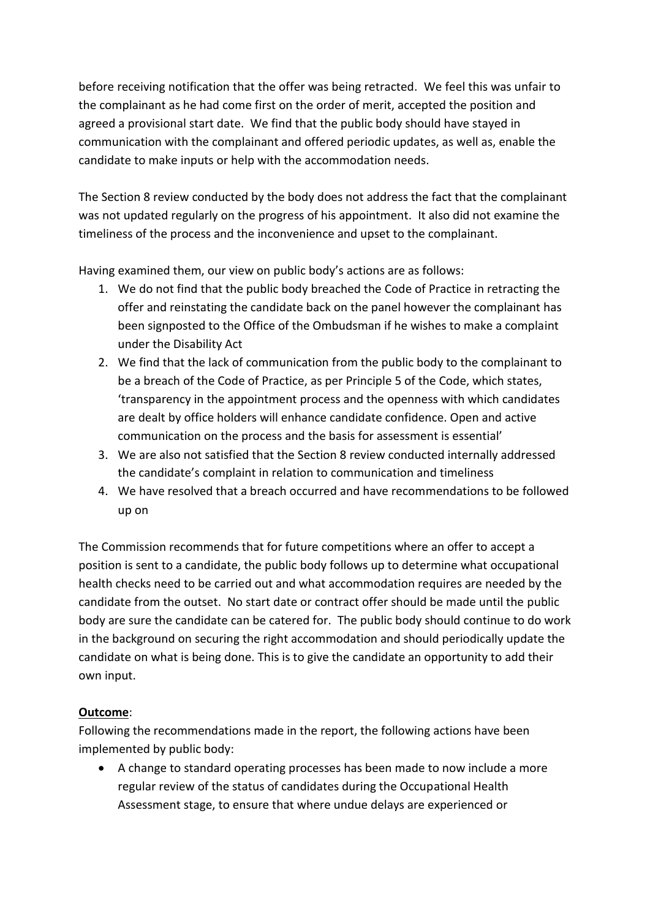before receiving notification that the offer was being retracted. We feel this was unfair to the complainant as he had come first on the order of merit, accepted the position and agreed a provisional start date. We find that the public body should have stayed in communication with the complainant and offered periodic updates, as well as, enable the candidate to make inputs or help with the accommodation needs.

The Section 8 review conducted by the body does not address the fact that the complainant was not updated regularly on the progress of his appointment. It also did not examine the timeliness of the process and the inconvenience and upset to the complainant.

Having examined them, our view on public body's actions are as follows:

- 1. We do not find that the public body breached the Code of Practice in retracting the offer and reinstating the candidate back on the panel however the complainant has been signposted to the Office of the Ombudsman if he wishes to make a complaint under the Disability Act
- 2. We find that the lack of communication from the public body to the complainant to be a breach of the Code of Practice, as per Principle 5 of the Code, which states, 'transparency in the appointment process and the openness with which candidates are dealt by office holders will enhance candidate confidence. Open and active communication on the process and the basis for assessment is essential'
- 3. We are also not satisfied that the Section 8 review conducted internally addressed the candidate's complaint in relation to communication and timeliness
- 4. We have resolved that a breach occurred and have recommendations to be followed up on

The Commission recommends that for future competitions where an offer to accept a position is sent to a candidate, the public body follows up to determine what occupational health checks need to be carried out and what accommodation requires are needed by the candidate from the outset. No start date or contract offer should be made until the public body are sure the candidate can be catered for. The public body should continue to do work in the background on securing the right accommodation and should periodically update the candidate on what is being done. This is to give the candidate an opportunity to add their own input.

## **Outcome**:

Following the recommendations made in the report, the following actions have been implemented by public body:

 A change to standard operating processes has been made to now include a more regular review of the status of candidates during the Occupational Health Assessment stage, to ensure that where undue delays are experienced or